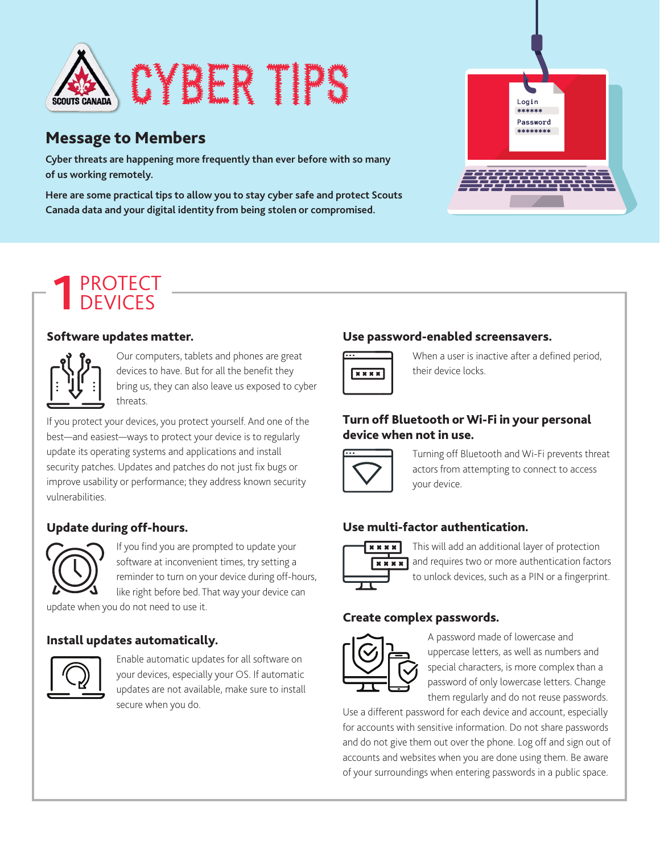

### Message to Members

**Cyber threats are happening more frequently than ever before with so many of us working remotely.** 

**Here are some practical tips to allow you to stay cyber safe and protect Scouts Canada data and your digital identity from being stolen or compromised.**



# PROTECT 1 PROTECT

#### Software updates matter.



Our computers, tablets and phones are great devices to have. But for all the benefit they bring us, they can also leave us exposed to cyber threats.

If you protect your devices, you protect yourself. And one of the best—and easiest—ways to protect your device is to regularly update its operating systems and applications and install security patches. Updates and patches do not just fix bugs or improve usability or performance; they address known security vulnerabilities.

#### Update during off-hours.



If you find you are prompted to update your software at inconvenient times, try setting a reminder to turn on your device during off-hours, like right before bed. That way your device can

update when you do not need to use it.

#### Install updates automatically.



Enable automatic updates for all software on your devices, especially your OS. If automatic updates are not available, make sure to install secure when you do.

#### Use password-enabled screensavers.



When a user is inactive after a defined period, their device locks.

#### Turn off Bluetooth or Wi-Fi in your personal device when not in use.



Turning off Bluetooth and Wi-Fi prevents threat actors from attempting to connect to access your device.

### Use multi-factor authentication.



This will add an additional layer of protection  $\sqrt{\mathbf{x} \cdot \mathbf{x}}$  and requires two or more authentication factors to unlock devices, such as a PIN or a fingerprint.

#### Create complex passwords.



A password made of lowercase and uppercase letters, as well as numbers and special characters, is more complex than a password of only lowercase letters. Change them regularly and do not reuse passwords.

Use a different password for each device and account, especially for accounts with sensitive information. Do not share passwords and do not give them out over the phone. Log off and sign out of accounts and websites when you are done using them. Be aware of your surroundings when entering passwords in a public space.